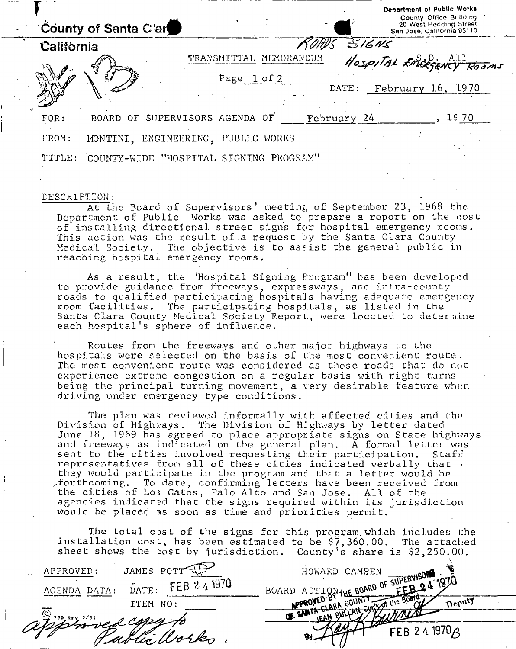|            | $\overline{a}$<br>County of Santa Clar           | Department of Public Works<br>County Office Building<br>20 West Hedding Street<br>San Jose, California 95110 |
|------------|--------------------------------------------------|--------------------------------------------------------------------------------------------------------------|
| California |                                                  | 316Ns                                                                                                        |
|            | TRANSMITTAL MEMORANDUM                           | HOSPITAL EMERGENCY ROOMS                                                                                     |
|            | Page 1 of 2                                      |                                                                                                              |
|            | DATE:                                            | February 16, 1970                                                                                            |
| FOR:       | SUPERVISORS AGENDA OF<br>February 24<br>BOARD OF | <b>JE 70</b>                                                                                                 |
| FROM:      | MONTINI, ENGINEERING,<br>WORKS<br>PUBLIC         |                                                                                                              |
| TITLE:     | COUNTY-WIDE "HOSPITAL SIGNING PROGRAM"           |                                                                                                              |

### DESCRIPTION:

At the Board of Supervisors' meeting of September 23, 1968 the Department of Public Works was asked to prepare a report on the cost of installing directional street signs for hospital emergency rooms. This action was the result of a request by the Santa Clara County Medical Society. The objective is to assist the general public in reaching hospital emergency rooms.

As a result, the "Hospital Signing Program" has been developed to provide guidance from freeways, expressways, and intra-county roads to qualified participating hospitals having adequate emergency room facilities. The participating hospitals, as listed in the Santa Clara County Medical Society Report., were located to determine each hospital's sphere of influence.

Routes from the freeways and other major highways to the hospitals were selected on the basis of the most convenient route . The most convenient route was considered as those roads that do not experience extreme congestion on a regular basis with right turns being the principal turning movement, a very desirable feature when driving under emergency type conditions.

The plan was reviewed informally with affected cities and the Division of Highways. The Division of Highways by letter dated June 18, 1969 has agreed to place appropriate signs on State highways and freeways as indicated on the general plan. A formal letter was sent to the cities involved requesting their participation. Staff representatives from all of these cities indicated verbally that  $\cdot$ they would participate in the program and that a letter would be forthcoming. To date, confirming letters have been received from the cities of Lo; Gatos, Palo Alto and San Jose. All of the agencies indicated that the signs required within its jurisdiction would be placed as soon as time and priorities permit.

The total cost of the signs for this program which includes the installation cost, has been estimated to be \$7,360.00. The attached sheet shows the :ost by jurisdiction. County's share is \$2,250.00.

| JAMES POTT<br>APPROVED:                  | HOWARD CAMPEN                                               |
|------------------------------------------|-------------------------------------------------------------|
| FEB 2.4 1970<br>DATE.<br>DATA:<br>AGENDA | BOARD ACTION THE BOARD OF SUPERVISLA IS<br>$FEB-24^{19711}$ |
| ITEM NO:                                 | $Deb_{\eta}$                                                |
| '55 REV 2/69<br>who ved copy to          |                                                             |
|                                          | FEB 24 1970 A                                               |
|                                          |                                                             |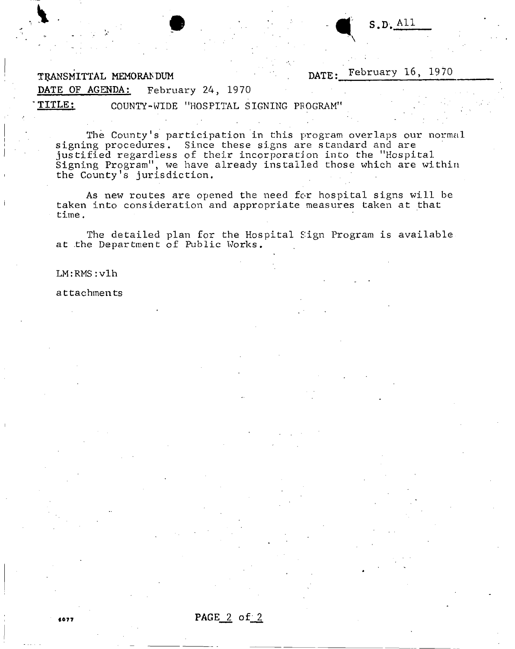**TRANSMITTAL MEMORANDUM DATE: February 16, 1970** 

**DATE OF AGENDA: February 24, 1970 \* TITLE**: COUNTY-WIDE "HOSPITAL SIGNING PROGRAM"

The County's participation in this program overlaps our normal signing procedures. Since these signs are standard and are justified regardless of their incorporation into the "Hospital Signing Program", we have already installed those which are within the County's jurisdiction.

As new routes are opened the need for hospital signs will be taken into consideration and appropriate measures taken at that time,

The detailed plan for the Hospital Sign Program is available at the Department of Public Works.

### LM:RMS:vlh

attachments

<sup>607</sup> <sup>7</sup>**PAGE 2 of 2**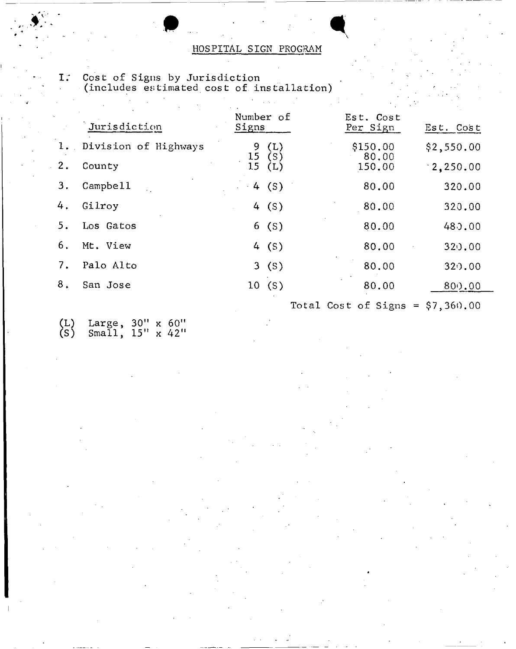### HOSPITAL SIGN PROGRAM

- Number of Est. Cost<br>Signs Per Sign Jurisdiction Signs Per Sign Est. Cost 1. Division of Highways 9 (L) \$150.00 \$2,550.00  $\begin{array}{cc} 9 & \text{(L)} & 8150.00 \\ 15 & \text{(S)} & 80.00 \\ 15 & \text{(L)} & 150.00 \end{array}$ 2. County 15 (L) 150.00 2,250.00 3. Campbell 3. Campbell 4 (S) 80.00 320.00 4. Gilroy 1. 4 (S) 80.00 320.00 5. Los Gatos 6 (S) 80.00 480.00 6. Mt. View 4 (S) 80.00 320.00 7. Palo Alto 3 (S) 80.00 320.00
- 8. San Jose 10 (S) 80.00 800.00
- (L) Large, 30" x 60" (S) Small, 15" x 42"

I; Cost of Signs by Jurisdiction (includes estimated cost of installation)

Total Cost of Signs =  $$7,360.00$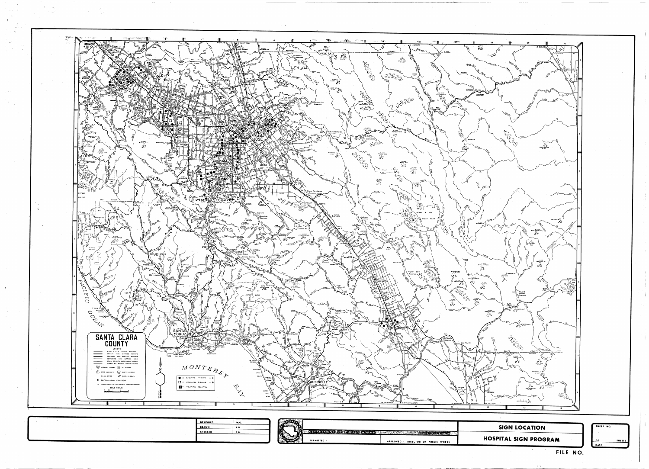

| L.B. |  |
|------|--|
| T.B. |  |

 $\frac{1}{\sqrt{1-\frac{1}{2}}\sqrt{1-\frac{1}{2}}\sqrt{1-\frac{1}{2}}\sqrt{1-\frac{1}{2}}}}$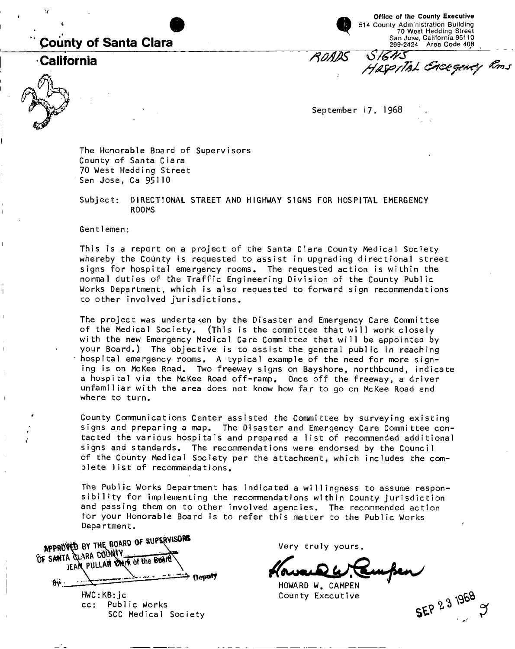## **County of Santa Clara**

**California** 

**Office of the County Executive**  514 County Administration Building 70 West Hedding Street San Jose, California 95110 299-2424 Area Code 408

ROADS SIGNS<br>Haspital Greegewey Roms

September 17, 1968

The Honorable Board of Supervisors County of Santa Clara 70 West Hedding Street San Jose, Ca 95110

Subject: DIRECTIONAL STREET AND HIGHWAY SIGNS FOR HOSPITAL EMERGENCY ROOMS

Gentlemen:

This is a report on a project of the Santa Clara County Medical Society whereby the County is requested to assist in upgrading directional street signs for hospital emergency rooms. The requested action is within the normal duties of the Traffic Engineering Division of the County Public Works Department, which is also requested to forward sign recommendations to other involved jurisdictions.

The project was undertaken by the Disaster and Emergency Care Committee of the Medical Society. (This is the committee that will work closely with the new Emergency Medical Care Committee that will be appointed by your Board.) The objective is to assist the general public in reaching hospital emergency rooms. A typical example of the need for more signing is on McKee Road. Two freeway signs on Bayshore, northbound, indicate a hospital via the McKee Road off-ramp. Once off the freeway, a driver unfamiliar with the area does not know how far to go on McKee Road and where to turn.

County Communications Center assisted the Committee by surveying existing signs and preparing a map. The Disaster and Emergency Care Committee contacted the various hospitals and prepared a list of recommended additional signs and standards. The recommendations were endorsed by the Council of the County Medical Society per the attachment, which includes the complete list of recommendations.

The Public Works Department has indicated a willingness to assume responsibility for implementing the recommendations within County jurisdiction and passing them on to other involved agencies. The recommended action for your Honorable Board is to refer this matter to the Public Works Department.

APPROVED BY THE BOARD OF SUPERVISORS JEAN PULLAN CHEK of the Board **r 0f SANTA**  Deputy  $8V$ 

HWC:KB:jc cc: Public Works SCC Medical Society Very truly yours

**SEP 23 1968** 

HOWARD W. CAMPEN County Executive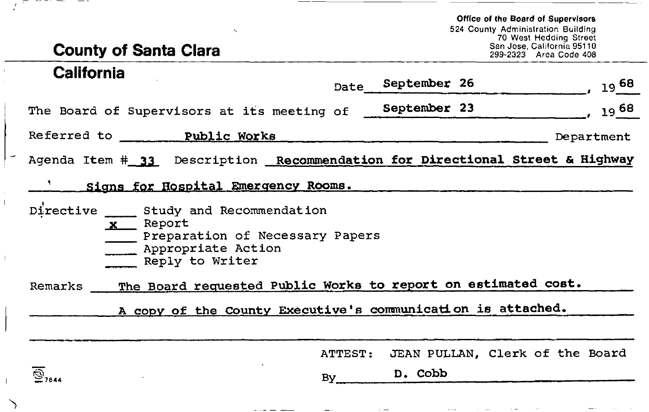**Office of the Board of Supervisors**  524 County Administration Building 70 West Hedding Street San Jose, California 95110 299-2323 Area Code 408

# **County of Santa Clara**

۰,

--

 $\overline{\phantom{a}}$ 

| <b>California</b>                                                                                                            | Date    | September 26 |  | $19^{68}$                       |  |  |  |
|------------------------------------------------------------------------------------------------------------------------------|---------|--------------|--|---------------------------------|--|--|--|
| The Board of Supervisors at its meeting of                                                                                   |         | September 23 |  | $19^{68}$                       |  |  |  |
| Referred to Public Works                                                                                                     |         |              |  | Department                      |  |  |  |
| Agenda Item # 33 Description Recommendation for Directional Street & Highway                                                 |         |              |  |                                 |  |  |  |
| <u>' Signs for Hospital Emergency Rooms.</u>                                                                                 |         |              |  |                                 |  |  |  |
| Directive 5tudy and Recommendation<br>$x$ Report<br>Preparation of Necessary Papers<br>Appropriate Action<br>Reply to Writer |         |              |  |                                 |  |  |  |
| The Board requested Public Works to report on estimated cost.<br>Remarks                                                     |         |              |  |                                 |  |  |  |
| A copy of the County Executive's communication is attached.                                                                  |         |              |  |                                 |  |  |  |
|                                                                                                                              |         |              |  |                                 |  |  |  |
|                                                                                                                              | ATTEST: |              |  | JEAN PULLAN, Clerk of the Board |  |  |  |
| $\widehat{\bigcirc}_{7844}$                                                                                                  | By      | D. Cobb      |  |                                 |  |  |  |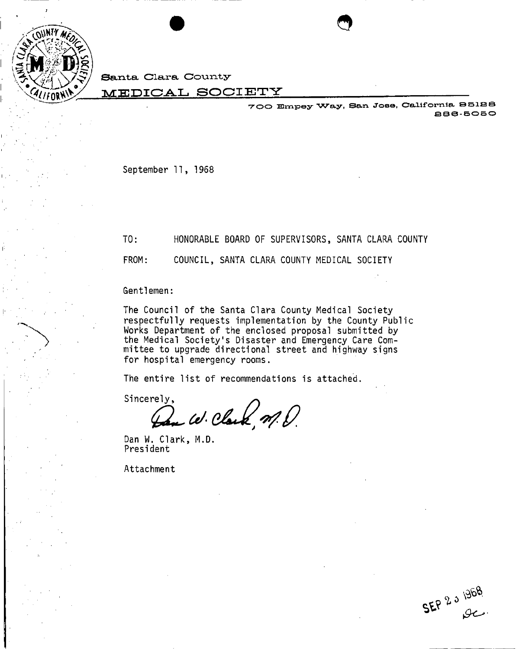

**>>** 

Santa Clara County

### **MEDICAL SOCIETY**

VOO Bmpey Way, San Jose, Oeaifornia, B5128 886-5050

*9* 

September 11, 1968

TO: HONORABLE BOARD OF SUPERVISORS, SANTA CLARA COUNTY

FROM: COUNCIL, SANTA CLARA COUNTY MEDICAL SOCIETY

Gentlemen:

The Council of the Santa Clara County Medical Society respectfully requests implementation by the County Public Works Department of the enclosed proposal submitted by the Medical Society's Disaster and Emergency Care Committee to upgrade directional street and highway signs for hospital emergency rooms.

The entire list of recommendations is attached.

Sincerely,  $\omega$ . Clark  $\eta$ .

Dan W. Clark, M**.D.**  President

Attachment

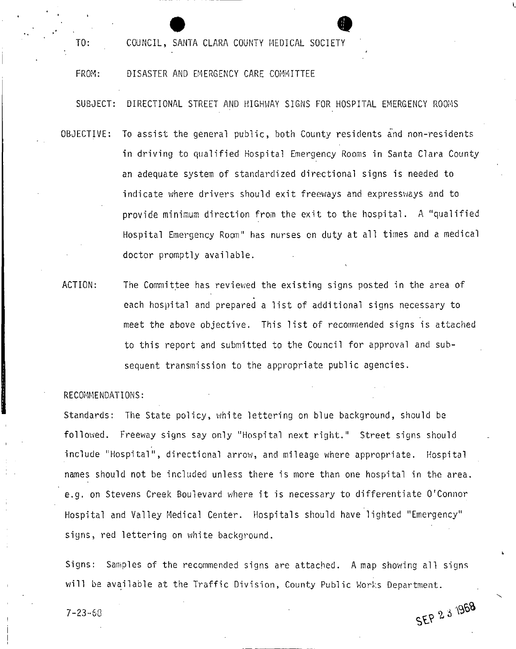COUNCIL, SANTA CLARA COUNTY MEDICAL SOCIETY

### FROM: DISASTER AND EMERGENCY CARE COMMITTEE

SUBJECT: DIRECTIONAL STREET AND HIGHWAY SIGNS FOR HOSPITAL EMERGENCY ROOMS

- OBJECTIVE: To assist the general public, both County residents and non-residents in driving to qualified Hospital Emergency Rooms in Santa Clara County an adequate system of standardized directional signs is needed to indicate where drivers should exit freeways and expressways and to provide minimum direction from the exit to the hospital. A "qualified Hospital Emergency Room" has nurses on duty at all times and a medical doctor promptly available.
- ACTION: The Committee has reviewed the existing signs posted in the area of each hospital and prepared a list of additional signs necessary to meet the above objective. This list of recommended signs is attached to this report and submitted to the Council for approval and subsequent transmission to the appropriate public agencies.

### RECOMMENDATIONS:

TO:

Standards: The State policy, white lettering on blue background, should be followed. Freeway signs say only "Hospital next right." Street signs should include "Hospital", directional arrow, and mileage where appropriate. Hospital names should not be included unless there is more than one hospital in the area, e.g. on Stevens Creek Boulevard where it is necessary to differentiate O'Connor Hospital and Valley Medical Center. Hospitals should have lighted "Emergency" signs, red lettering on white background.

Signs: Samples of the recommended signs are attached. A map showing all signs will be available at the Traffic Division, County Public Works Department.

SEP 2 3 1968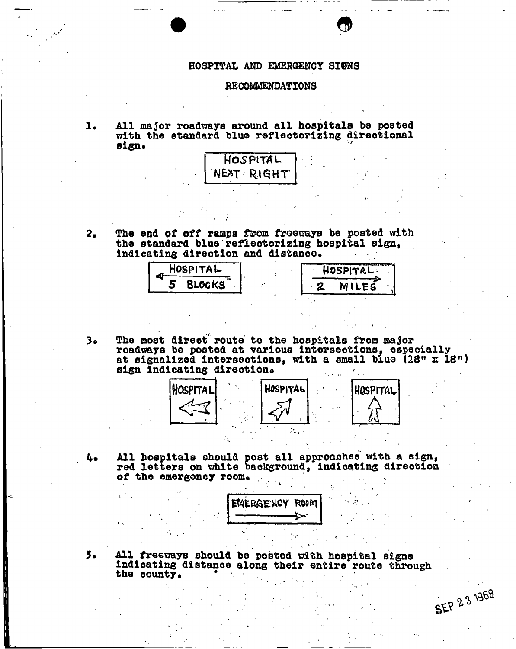### **HOSPITAL AND EMERGENCY SIGNS**

*9* 

### **RECOMMENDATIONS**

**1. All major roadways around all hospitals be posted**  with the standard blue reflectorizing directional **sign\***



**2.** The end of off ramps from freeways be posted with **the standard blue reflectorizing hospital sign<sup>t</sup>indicating direotlon and distanoe\*** 

| HOSPITAL | HOSPITAL -   |
|----------|--------------|
| Blocks   | <b>MILES</b> |
|          |              |

 $3<sub>o</sub>$ **The most direct" route to the hospitals from major roadways be posted at various intersections, especially**  at signalized intersections, with a small blue (18" x 18") sign indicating direction.



**All hospitals should post all approaches with a sign, red letters on white background, indicating direction**  of the emergency room.



**SEP** 23 1968

 $5.$ **All freeways should be posted with hospital signs**  indicating distance along their entire route through the county. the county.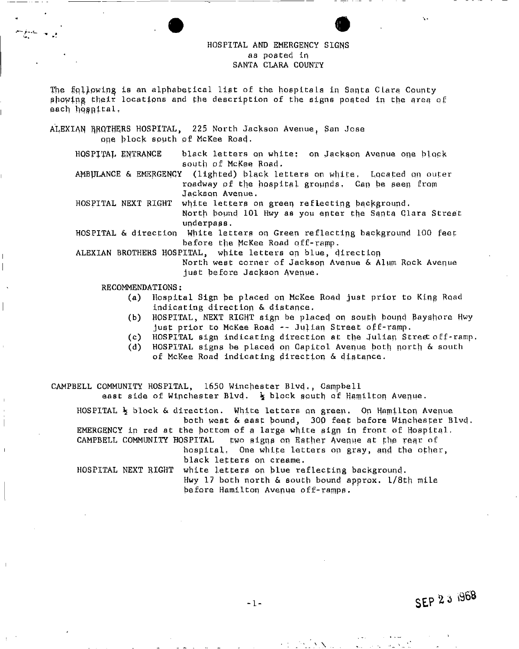### HOSPITAL AND EMERGENCY SIGNS aa posted in SANTA CLARA COUNTY

The following is an alphabetical list of the hospitals in Santa Clara County showing their locations and the description of the signs posted in the area of each hosnital,

ALEXIAN BROTHERS HOSPITAL, 225 North Jackson Avenue, San Jose one block south of McKee Road. HOSPITAL ENTRANCE black letters on white: on Jackson Avenue one block south of McKee Road. AMBULANCE & EMERGENCY (lighted) black letters on white. Located on outer roadway of the hospital grounds. Can be seen from Jackson Avenue. HOSPITAL NEXT RIGHT white letters on green reflecting background. North bound 101 Hwy as you enter the Santa Clara Street underpass. HOSPITAL & direction White letters on Green reflecting background 100 feet before the McKee Road off-ramp. ALEXIAN BROTHERS HOSPITAL, white letters op blue, direction North west corner of Jackson Avenue & Alum Rock Avenue just before Jackson Avenue. RECOMMENDATIONS: (a) Hospital Sign be placed on McKee Road just prior to King Road indicating direction & distance. (b) HOSPITAL, NEXT RIGHT sign be placed on south bound Bayshore Hwy just prior to McKee Road -- Julian Street off-ramp. (c) HOSPITAL sign indicating direction at the Julian Street off-ramp. (d) HOSPITAL signs be placed on Capitol Avenue both north & south of McKee Road indicating direction & distance.

CAMPBELL COMMUNITY HOSPITAL, 1650 Winchester Blvd., Campbell east side of Winchester Blvd.  $\frac{1}{2}$  block squth of Hamilton Avenue.

HOSPITAL  $\frac{1}{2}$  block & direction. White letters on green. On Hamilton Avenue both west & east bound, 300 feet before Winchester Blvd. EMERGENCY in red at the bottom of a large white sign in front of Hospital.

CAMPBELL COMMUNITY HOSPITAL two signs on Esther Avenue at the rear of hospital. One white letters on gray, and the other,

black letters on creame.

HOSPITAL NEXT RIGHT white letters on blue reflecting background. Hwy 17 both north & south bound approx. l/8th mile before Hamilton Avenue off-ramps.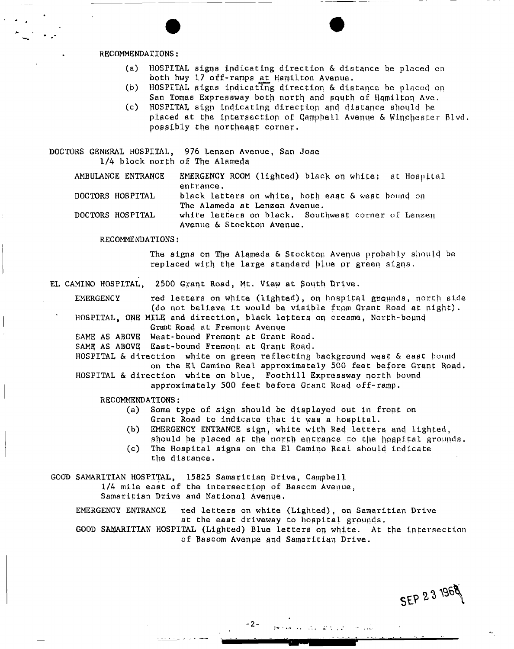### RECOMMENDATIONS:

- (a) HOSPITAL pigns indicating direction & distance be placed on both hwy 17 off-ramps at Hamilton Avenue.
- (b) HOSPITAL signs indicating direction & distance be placed on San Tomas Expressway both north and squth of Hamilton Ave.
- (c) HOSPITAL sign indicating direction and distance shonld be placed at the intersection of Campbell Avenue & Winchester Blvd. possibly the northeast corner.

DOCTORS GENERAL HOSPITAL, 976 Lenzen Avenue, San Jose 1/4 block north of The Alameda

AMBULANCE ENTRANCE EMERGENCY ROOM (lighted) black on white: at Hospital entrance.

DOCTORS HOSPITAL black letters on white, both east & west hound on The Alameda at Lenzen Avenue.

DOCTORS HOSPITAL white letters on black. Southwest corner of Lenzen Avenue & Stockton Avenue.

RECOMMENDATIONS:

The signs on The Alameda & Stockton Avenue probably should be replaced with the large standard plue pr green signe.

EL CAMINO HOSPITAL, 2500 Grant Road, Mt. View at South Drive.

EMERGENCY red letters on white (lighted), on hospital grqunds, north side (do not believe it would be visible from Grant Road at night).

HOSPITAL, ONE MILE and direction, black letters qn creame, North-bound Grant Road at Fremont Avenue

SAME AS ABOVE West-bound Fremont at Grant Road.

SAME AS ABOVE; East-bound Fremont at Grant Road.

HOSPITAL & direction white on green reflecting background west & east bound on the El Camino Real approximately 500 feet before Grant Road. HOSPITAL & direction white on blue, Foothill Expressway north bound

approximately 500 feet before Grant Road off-ramp.

RECOMMENDATIONS:

- (a) Some type of sign should be displayed out in front on Grant Road to indicate that it was a hospital.
- (b) EMERGENCY ENTRANCE sign, white with Red letters and lighted, should be placed at the north entrance to the hospital grounds.
- (c) The Hospital signs on the El Camino Real should indicate the distance.

 $\mathcal{A}$  and  $\mathcal{B}$  is given by  $\mathcal{A}$ 

GOOD SAMARITIAN HOSPITAL, 15825 Samaritian Drive, Campbell

1/4 mile east of the intersection of Bascom Avenue,

Samaritian Drive and National Avenue.

EMERGENCY ENTRANCE red letters on white (Lighted), on Samaritian Drive at the east driveway to hospital grounds. GOOD SAMARITIAN HOSPITAL (Lighted) Blue letters on white. At the intersection of Bascom Avenue and Samaritian Drive.

 $-2-$ 

SEP 23 1968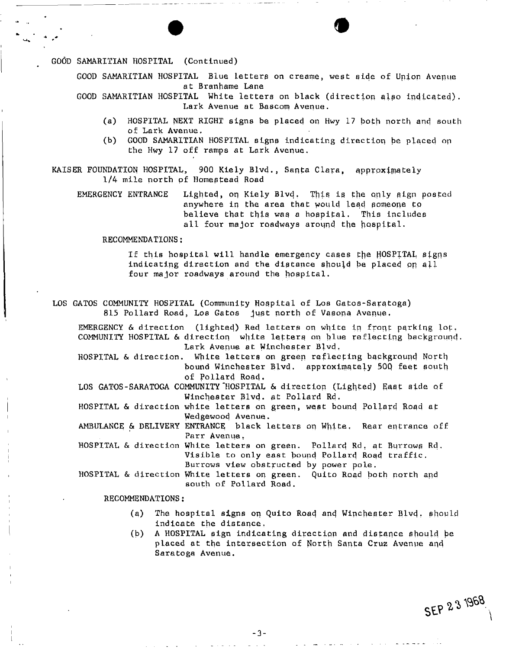GOOD SAMARITIAN HOSPITAL (Continued)

GOOD SAMARITIAN HOSPITAL Blue letters on creame, west side of Union Avenue at Branhame Lane

GOOD SAMARITIAN HOSPITAL White letters on black (direction qlso indicated). Lark Avenue at Bascom Avenue.

- (a) HOSPITAL NEXT RIGHT signs be placed on Hwy 17 both north and south of Lark Avenue.
- (b) GOOD SAMARITIAN HOSPITAL signs indicating direction be placed op the Hwy 17 off ramps at Lark Avenue,

KAISER FOUNDATION HOSPITAL, 900 Kiely Blvd., Santa Clara, approximately 1/4 mile north of Homestead Road

EMERGENCY ENTRANCE Lighted, on Kiely Blvd. This is the oply sign posted anywhere in the area that would lead someone to believe that this was a hospital. This includes all four major roadways around the hospital,

RECOMMENDATIONS :

If this hospital will handle emergency cases th e HOSPITAL signs indicating direction and the distance should be placed on all four major roadways around the hospital.

LOS GATOS COMMUNITY HOSPITAL (Community Hospital of Los Gatos-Saratoga) 815 Pollard Road, Los Gatos Just north of Vasona Avenue.

EMERGENCY & direction (lighted) Red letters on white in front parking lot. COMMUNITY HOSPITAL & direction white letters on blue reflecting background. Lark Avenue at Winchester Blvd. HOSPITAL & direction. White letters on green reflecting background North bound Winchester Blvd. approximately 50Q feet south of Pollard Road. LOS GATOS-SARATOGA COMMUNITY HOSPITAL & direction (Lighted) East side of Winchester Blvd. at Pollard Rd. HOSPITAL & direction white letters on green, west bound Pollard Rogd at Wedgewood Avenue. AMBULANCE & DELIVERY ENTRANCE black letters on White. Rear entrance off Parr Avenue. HOSPITAL & direction White letters on green. Pollard Rd. at Burrows Rd. Visible to only east bound Pollard Road traffic. Burrows view obstructed by power pole. HOSPITAL & direction White letters on green. Quito Road both north and south of Pollard Road.

RECOMMENDATIONS:

- (3) The hospital signs on Quito Road and Winchester Blvd. should indicate the distance,
- (b) A HOSPITAL sign indicating direction and distance should be placed at the intersection of North Santa Cruz Avenue and Saratoga Avenue.

SEP 23 1968

 $-3-$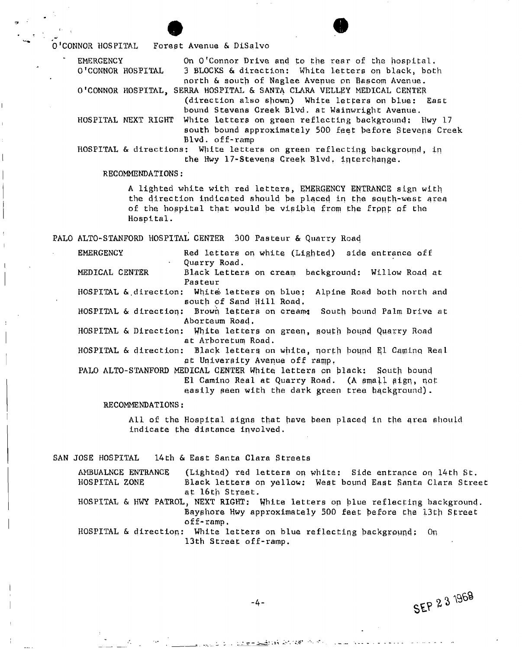O'CONNOR HOSPITAL Forest Avenue & DiSalvo

EMERGENCY On O'Connor Drive and to the rear of the hospital. O'CONNOR HOSPITAL 3 BLOCKS & direction: White letters on black, both north & south of Naglee Avenue on Bascom Avenue. O'CONNOR HOSPITAL, SERRA HOSPITAL & SANTA CLARA VELLEY MEDICAL CENTER

(direction also shown) White letters on blue: East bound Stevens Creek Blvd. at Wainwright Avenue.

HOSPITAL NEXT RIGHT White letters on green reflecting background: Hwy 17 south bound approximately 500 feet before Stevens Creek Blvd. off-ramp

HOSPITAL & directions: White letters on green reflecting background, in the Hwy 17-Stevens Creek Blvd. interchange.

RECOMMENDATIONS:

A lighted white with red letters, EMERGENCY ENTRANCE sign with the direction indicated should be placed in the south-west area of the hospital that would be visible from the front of the Hospital.

PALO ALTO-STANFORD HOSPITAL CENTER 300 Pasteur & Quarry Road

EMERGENCY Red letters on white (Lighted) side entrance off Quarry Road.

MEDICAL CENTER Black Letters on cream background: Willow Road at Pasteur

HOSPITAL & direction: White letters on blue: Alpine Road both north and south of Sand Hill Road.

HOSPITAL & direction: Brown letters on cream: South bound Palm Drive at Abprteum Road.

HOSPITAL & Direction: White letters on green, south bound Quarry Road at Arboretum Road.

HOSPITAL & direction: Black letters on white, north bound El Camino Real at University Avenue off ramp.

PALO ALTO-STANFORD MEDICAL CENTER White letters on black: South bound El Camino Real at Quarry Road. (A small sign, not easily seen with the dark green tree background).

RECOMMENDATIONS:

All of the Hospital pigns that have been placed in the qrea should indicate the distance involved.

SAN JOSE HOSPITAL 14th & East Santa Clara Streets

AMBUALNCE ENTRANCE (Lighted) red letters on white: Side entrance on 14th St. HOSPITAL ZONE Black letters on yellow: West bound East Santa Clara Street at 16th Street. HOSPITAL & HWY PATROL, NEXT RIGHT: White letters on blue reflecting background.

Bayshore Hwy approximately 500 feet before the 13th Street off-ramp.

SEP 2 3 1968

HOSPITAL & direction: White letters on blue reflecting hackgrpund: On 13th Street off-ramp.

 $-4-$